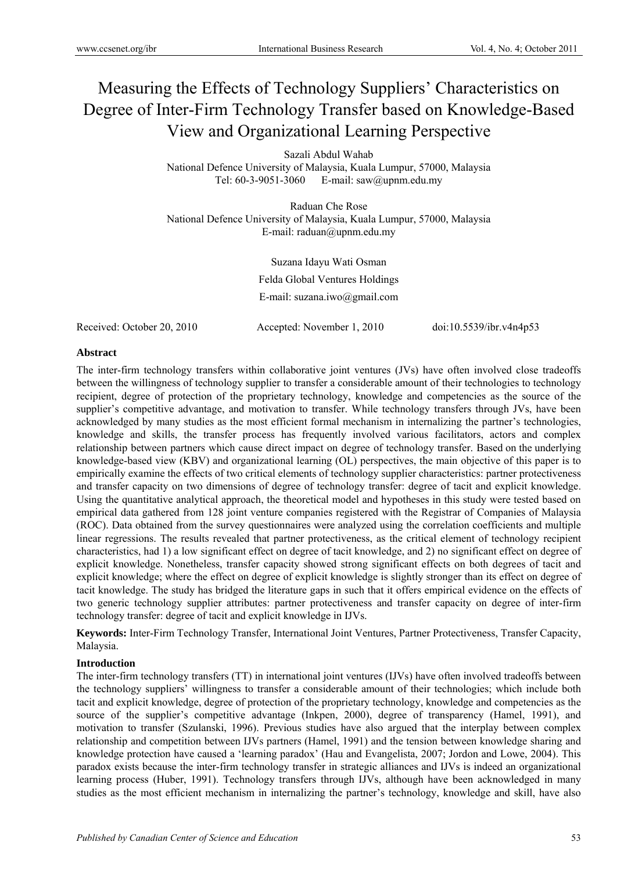# Measuring the Effects of Technology Suppliers' Characteristics on Degree of Inter-Firm Technology Transfer based on Knowledge-Based View and Organizational Learning Perspective

Sazali Abdul Wahab National Defence University of Malaysia, Kuala Lumpur, 57000, Malaysia Tel: 60-3-9051-3060 E-mail: saw@upnm.edu.my

Raduan Che Rose National Defence University of Malaysia, Kuala Lumpur, 57000, Malaysia E-mail: raduan@upnm.edu.my

> Suzana Idayu Wati Osman Felda Global Ventures Holdings E-mail: suzana.iwo@gmail.com

Received: October 20, 2010 Accepted: November 1, 2010 doi:10.5539/ibr.v4n4p53

#### **Abstract**

The inter-firm technology transfers within collaborative joint ventures (JVs) have often involved close tradeoffs between the willingness of technology supplier to transfer a considerable amount of their technologies to technology recipient, degree of protection of the proprietary technology, knowledge and competencies as the source of the supplier's competitive advantage, and motivation to transfer. While technology transfers through JVs, have been acknowledged by many studies as the most efficient formal mechanism in internalizing the partner's technologies, knowledge and skills, the transfer process has frequently involved various facilitators, actors and complex relationship between partners which cause direct impact on degree of technology transfer. Based on the underlying knowledge-based view (KBV) and organizational learning (OL) perspectives, the main objective of this paper is to empirically examine the effects of two critical elements of technology supplier characteristics: partner protectiveness and transfer capacity on two dimensions of degree of technology transfer: degree of tacit and explicit knowledge. Using the quantitative analytical approach, the theoretical model and hypotheses in this study were tested based on empirical data gathered from 128 joint venture companies registered with the Registrar of Companies of Malaysia (ROC). Data obtained from the survey questionnaires were analyzed using the correlation coefficients and multiple linear regressions. The results revealed that partner protectiveness, as the critical element of technology recipient characteristics, had 1) a low significant effect on degree of tacit knowledge, and 2) no significant effect on degree of explicit knowledge. Nonetheless, transfer capacity showed strong significant effects on both degrees of tacit and explicit knowledge; where the effect on degree of explicit knowledge is slightly stronger than its effect on degree of tacit knowledge. The study has bridged the literature gaps in such that it offers empirical evidence on the effects of two generic technology supplier attributes: partner protectiveness and transfer capacity on degree of inter-firm technology transfer: degree of tacit and explicit knowledge in IJVs.

**Keywords:** Inter-Firm Technology Transfer, International Joint Ventures, Partner Protectiveness, Transfer Capacity, Malaysia.

#### **Introduction**

The inter-firm technology transfers (TT) in international joint ventures (IJVs) have often involved tradeoffs between the technology suppliers' willingness to transfer a considerable amount of their technologies; which include both tacit and explicit knowledge, degree of protection of the proprietary technology, knowledge and competencies as the source of the supplier's competitive advantage (Inkpen, 2000), degree of transparency (Hamel, 1991), and motivation to transfer (Szulanski, 1996). Previous studies have also argued that the interplay between complex relationship and competition between IJVs partners (Hamel, 1991) and the tension between knowledge sharing and knowledge protection have caused a 'learning paradox' (Hau and Evangelista, 2007; Jordon and Lowe, 2004). This paradox exists because the inter-firm technology transfer in strategic alliances and IJVs is indeed an organizational learning process (Huber, 1991). Technology transfers through IJVs, although have been acknowledged in many studies as the most efficient mechanism in internalizing the partner's technology, knowledge and skill, have also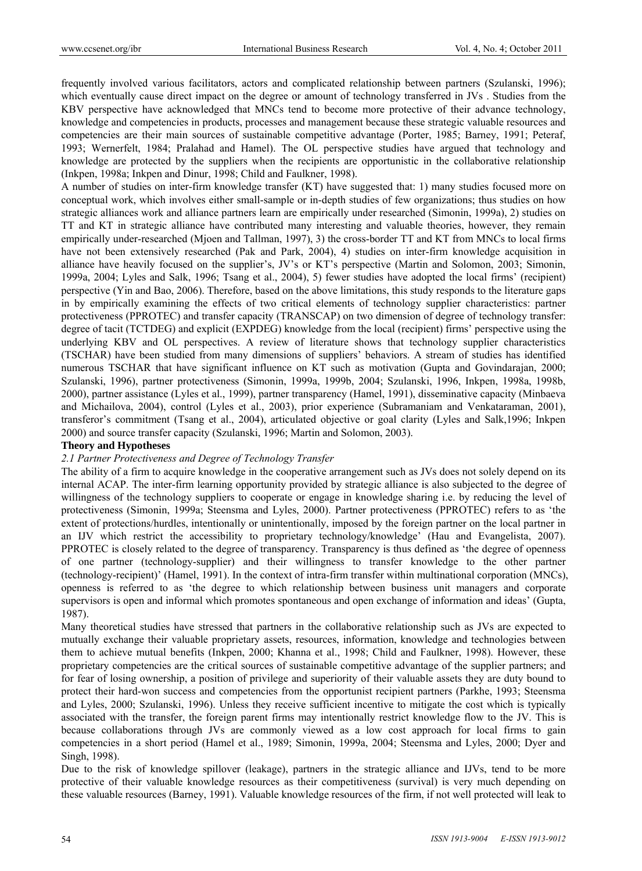frequently involved various facilitators, actors and complicated relationship between partners (Szulanski, 1996); which eventually cause direct impact on the degree or amount of technology transferred in JVs . Studies from the KBV perspective have acknowledged that MNCs tend to become more protective of their advance technology, knowledge and competencies in products, processes and management because these strategic valuable resources and competencies are their main sources of sustainable competitive advantage (Porter, 1985; Barney, 1991; Peteraf, 1993; Wernerfelt, 1984; Pralahad and Hamel). The OL perspective studies have argued that technology and knowledge are protected by the suppliers when the recipients are opportunistic in the collaborative relationship (Inkpen, 1998a; Inkpen and Dinur, 1998; Child and Faulkner, 1998).

A number of studies on inter-firm knowledge transfer (KT) have suggested that: 1) many studies focused more on conceptual work, which involves either small-sample or in-depth studies of few organizations; thus studies on how strategic alliances work and alliance partners learn are empirically under researched (Simonin, 1999a), 2) studies on TT and KT in strategic alliance have contributed many interesting and valuable theories, however, they remain empirically under-researched (Mjoen and Tallman, 1997), 3) the cross-border TT and KT from MNCs to local firms have not been extensively researched (Pak and Park, 2004), 4) studies on inter-firm knowledge acquisition in alliance have heavily focused on the supplier's, JV's or KT's perspective (Martin and Solomon, 2003; Simonin, 1999a, 2004; Lyles and Salk, 1996; Tsang et al., 2004), 5) fewer studies have adopted the local firms' (recipient) perspective (Yin and Bao, 2006). Therefore, based on the above limitations, this study responds to the literature gaps in by empirically examining the effects of two critical elements of technology supplier characteristics: partner protectiveness (PPROTEC) and transfer capacity (TRANSCAP) on two dimension of degree of technology transfer: degree of tacit (TCTDEG) and explicit (EXPDEG) knowledge from the local (recipient) firms' perspective using the underlying KBV and OL perspectives. A review of literature shows that technology supplier characteristics (TSCHAR) have been studied from many dimensions of suppliers' behaviors. A stream of studies has identified numerous TSCHAR that have significant influence on KT such as motivation (Gupta and Govindarajan, 2000; Szulanski, 1996), partner protectiveness (Simonin, 1999a, 1999b, 2004; Szulanski, 1996, Inkpen, 1998a, 1998b, 2000), partner assistance (Lyles et al., 1999), partner transparency (Hamel, 1991), disseminative capacity (Minbaeva and Michailova, 2004), control (Lyles et al., 2003), prior experience (Subramaniam and Venkataraman, 2001), transferor's commitment (Tsang et al., 2004), articulated objective or goal clarity (Lyles and Salk,1996; Inkpen 2000) and source transfer capacity (Szulanski, 1996; Martin and Solomon, 2003).

#### **Theory and Hypotheses**

#### *2.1 Partner Protectiveness and Degree of Technology Transfer*

The ability of a firm to acquire knowledge in the cooperative arrangement such as JVs does not solely depend on its internal ACAP. The inter-firm learning opportunity provided by strategic alliance is also subjected to the degree of willingness of the technology suppliers to cooperate or engage in knowledge sharing i.e. by reducing the level of protectiveness (Simonin, 1999a; Steensma and Lyles, 2000). Partner protectiveness (PPROTEC) refers to as 'the extent of protections/hurdles, intentionally or unintentionally, imposed by the foreign partner on the local partner in an IJV which restrict the accessibility to proprietary technology/knowledge' (Hau and Evangelista, 2007). PPROTEC is closely related to the degree of transparency. Transparency is thus defined as 'the degree of openness of one partner (technology-supplier) and their willingness to transfer knowledge to the other partner (technology-recipient)' (Hamel, 1991). In the context of intra-firm transfer within multinational corporation (MNCs), openness is referred to as 'the degree to which relationship between business unit managers and corporate supervisors is open and informal which promotes spontaneous and open exchange of information and ideas' (Gupta, 1987).

Many theoretical studies have stressed that partners in the collaborative relationship such as JVs are expected to mutually exchange their valuable proprietary assets, resources, information, knowledge and technologies between them to achieve mutual benefits (Inkpen, 2000; Khanna et al., 1998; Child and Faulkner, 1998). However, these proprietary competencies are the critical sources of sustainable competitive advantage of the supplier partners; and for fear of losing ownership, a position of privilege and superiority of their valuable assets they are duty bound to protect their hard-won success and competencies from the opportunist recipient partners (Parkhe, 1993; Steensma and Lyles, 2000; Szulanski, 1996). Unless they receive sufficient incentive to mitigate the cost which is typically associated with the transfer, the foreign parent firms may intentionally restrict knowledge flow to the JV. This is because collaborations through JVs are commonly viewed as a low cost approach for local firms to gain competencies in a short period (Hamel et al., 1989; Simonin, 1999a, 2004; Steensma and Lyles, 2000; Dyer and Singh, 1998).

Due to the risk of knowledge spillover (leakage), partners in the strategic alliance and IJVs, tend to be more protective of their valuable knowledge resources as their competitiveness (survival) is very much depending on these valuable resources (Barney, 1991). Valuable knowledge resources of the firm, if not well protected will leak to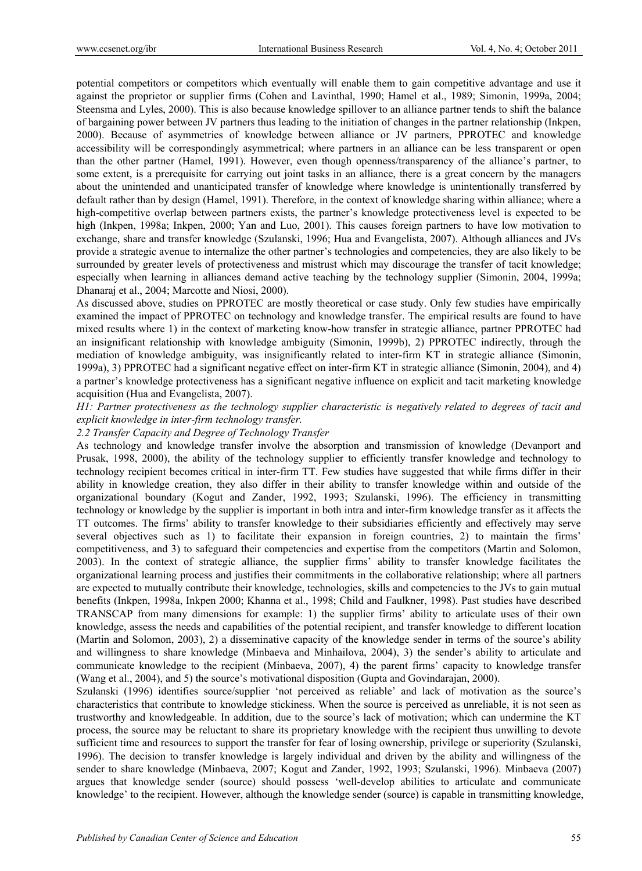potential competitors or competitors which eventually will enable them to gain competitive advantage and use it against the proprietor or supplier firms (Cohen and Lavinthal, 1990; Hamel et al., 1989; Simonin, 1999a, 2004; Steensma and Lyles, 2000). This is also because knowledge spillover to an alliance partner tends to shift the balance of bargaining power between JV partners thus leading to the initiation of changes in the partner relationship (Inkpen, 2000). Because of asymmetries of knowledge between alliance or JV partners, PPROTEC and knowledge accessibility will be correspondingly asymmetrical; where partners in an alliance can be less transparent or open than the other partner (Hamel, 1991). However, even though openness/transparency of the alliance's partner, to some extent, is a prerequisite for carrying out joint tasks in an alliance, there is a great concern by the managers about the unintended and unanticipated transfer of knowledge where knowledge is unintentionally transferred by default rather than by design (Hamel, 1991). Therefore, in the context of knowledge sharing within alliance; where a high-competitive overlap between partners exists, the partner's knowledge protectiveness level is expected to be high (Inkpen, 1998a; Inkpen, 2000; Yan and Luo, 2001). This causes foreign partners to have low motivation to exchange, share and transfer knowledge (Szulanski, 1996; Hua and Evangelista, 2007). Although alliances and JVs provide a strategic avenue to internalize the other partner's technologies and competencies, they are also likely to be surrounded by greater levels of protectiveness and mistrust which may discourage the transfer of tacit knowledge; especially when learning in alliances demand active teaching by the technology supplier (Simonin, 2004, 1999a; Dhanaraj et al., 2004; Marcotte and Niosi, 2000).

As discussed above, studies on PPROTEC are mostly theoretical or case study. Only few studies have empirically examined the impact of PPROTEC on technology and knowledge transfer. The empirical results are found to have mixed results where 1) in the context of marketing know-how transfer in strategic alliance, partner PPROTEC had an insignificant relationship with knowledge ambiguity (Simonin, 1999b), 2) PPROTEC indirectly, through the mediation of knowledge ambiguity, was insignificantly related to inter-firm KT in strategic alliance (Simonin, 1999a), 3) PPROTEC had a significant negative effect on inter-firm KT in strategic alliance (Simonin, 2004), and 4) a partner's knowledge protectiveness has a significant negative influence on explicit and tacit marketing knowledge acquisition (Hua and Evangelista, 2007).

*H1: Partner protectiveness as the technology supplier characteristic is negatively related to degrees of tacit and explicit knowledge in inter-firm technology transfer.* 

*2.2 Transfer Capacity and Degree of Technology Transfer* 

As technology and knowledge transfer involve the absorption and transmission of knowledge (Devanport and Prusak, 1998, 2000), the ability of the technology supplier to efficiently transfer knowledge and technology to technology recipient becomes critical in inter-firm TT. Few studies have suggested that while firms differ in their ability in knowledge creation, they also differ in their ability to transfer knowledge within and outside of the organizational boundary (Kogut and Zander, 1992, 1993; Szulanski, 1996). The efficiency in transmitting technology or knowledge by the supplier is important in both intra and inter-firm knowledge transfer as it affects the TT outcomes. The firms' ability to transfer knowledge to their subsidiaries efficiently and effectively may serve several objectives such as 1) to facilitate their expansion in foreign countries, 2) to maintain the firms' competitiveness, and 3) to safeguard their competencies and expertise from the competitors (Martin and Solomon, 2003). In the context of strategic alliance, the supplier firms' ability to transfer knowledge facilitates the organizational learning process and justifies their commitments in the collaborative relationship; where all partners are expected to mutually contribute their knowledge, technologies, skills and competencies to the JVs to gain mutual benefits (Inkpen, 1998a, Inkpen 2000; Khanna et al., 1998; Child and Faulkner, 1998). Past studies have described TRANSCAP from many dimensions for example: 1) the supplier firms' ability to articulate uses of their own knowledge, assess the needs and capabilities of the potential recipient, and transfer knowledge to different location (Martin and Solomon, 2003), 2) a disseminative capacity of the knowledge sender in terms of the source's ability and willingness to share knowledge (Minbaeva and Minhailova, 2004), 3) the sender's ability to articulate and communicate knowledge to the recipient (Minbaeva, 2007), 4) the parent firms' capacity to knowledge transfer (Wang et al., 2004), and 5) the source's motivational disposition (Gupta and Govindarajan, 2000).

Szulanski (1996) identifies source/supplier 'not perceived as reliable' and lack of motivation as the source's characteristics that contribute to knowledge stickiness. When the source is perceived as unreliable, it is not seen as trustworthy and knowledgeable. In addition, due to the source's lack of motivation; which can undermine the KT process, the source may be reluctant to share its proprietary knowledge with the recipient thus unwilling to devote sufficient time and resources to support the transfer for fear of losing ownership, privilege or superiority (Szulanski, 1996). The decision to transfer knowledge is largely individual and driven by the ability and willingness of the sender to share knowledge (Minbaeva, 2007; Kogut and Zander, 1992, 1993; Szulanski, 1996). Minbaeva (2007) argues that knowledge sender (source) should possess 'well-develop abilities to articulate and communicate knowledge' to the recipient. However, although the knowledge sender (source) is capable in transmitting knowledge,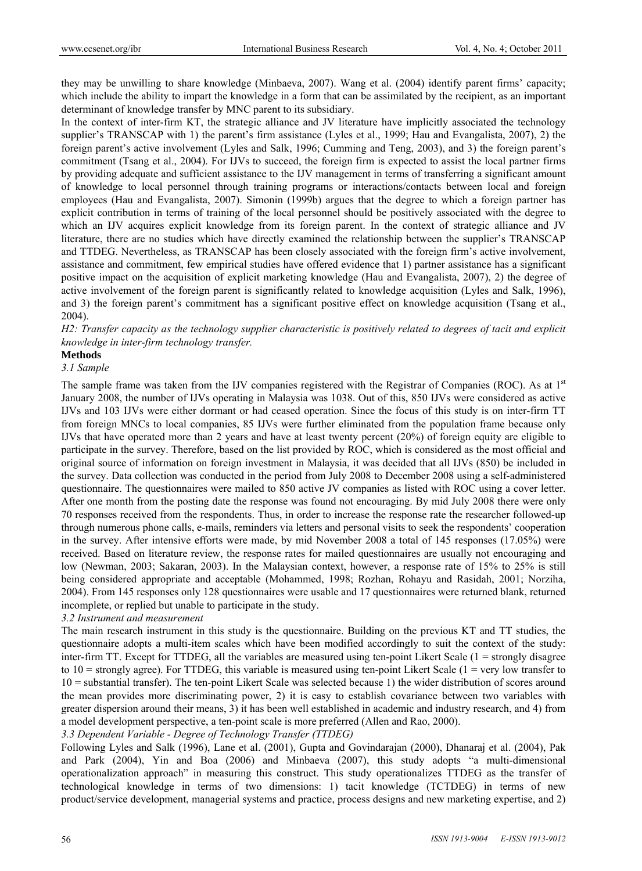they may be unwilling to share knowledge (Minbaeva, 2007). Wang et al. (2004) identify parent firms' capacity; which include the ability to impart the knowledge in a form that can be assimilated by the recipient, as an important determinant of knowledge transfer by MNC parent to its subsidiary.

In the context of inter-firm KT, the strategic alliance and JV literature have implicitly associated the technology supplier's TRANSCAP with 1) the parent's firm assistance (Lyles et al., 1999; Hau and Evangalista, 2007), 2) the foreign parent's active involvement (Lyles and Salk, 1996; Cumming and Teng, 2003), and 3) the foreign parent's commitment (Tsang et al., 2004). For IJVs to succeed, the foreign firm is expected to assist the local partner firms by providing adequate and sufficient assistance to the IJV management in terms of transferring a significant amount of knowledge to local personnel through training programs or interactions/contacts between local and foreign employees (Hau and Evangalista, 2007). Simonin (1999b) argues that the degree to which a foreign partner has explicit contribution in terms of training of the local personnel should be positively associated with the degree to which an IJV acquires explicit knowledge from its foreign parent. In the context of strategic alliance and JV literature, there are no studies which have directly examined the relationship between the supplier's TRANSCAP and TTDEG. Nevertheless, as TRANSCAP has been closely associated with the foreign firm's active involvement, assistance and commitment, few empirical studies have offered evidence that 1) partner assistance has a significant positive impact on the acquisition of explicit marketing knowledge (Hau and Evangalista, 2007), 2) the degree of active involvement of the foreign parent is significantly related to knowledge acquisition (Lyles and Salk, 1996), and 3) the foreign parent's commitment has a significant positive effect on knowledge acquisition (Tsang et al., 2004).

*H2: Transfer capacity as the technology supplier characteristic is positively related to degrees of tacit and explicit knowledge in inter-firm technology transfer.* 

# **Methods**

*3.1 Sample* 

The sample frame was taken from the IJV companies registered with the Registrar of Companies (ROC). As at 1<sup>st</sup> January 2008, the number of IJVs operating in Malaysia was 1038. Out of this, 850 IJVs were considered as active IJVs and 103 IJVs were either dormant or had ceased operation. Since the focus of this study is on inter-firm TT from foreign MNCs to local companies, 85 IJVs were further eliminated from the population frame because only IJVs that have operated more than 2 years and have at least twenty percent (20%) of foreign equity are eligible to participate in the survey. Therefore, based on the list provided by ROC, which is considered as the most official and original source of information on foreign investment in Malaysia, it was decided that all IJVs (850) be included in the survey. Data collection was conducted in the period from July 2008 to December 2008 using a self-administered questionnaire. The questionnaires were mailed to 850 active JV companies as listed with ROC using a cover letter. After one month from the posting date the response was found not encouraging. By mid July 2008 there were only 70 responses received from the respondents. Thus, in order to increase the response rate the researcher followed-up through numerous phone calls, e-mails, reminders via letters and personal visits to seek the respondents' cooperation in the survey. After intensive efforts were made, by mid November 2008 a total of 145 responses (17.05%) were received. Based on literature review, the response rates for mailed questionnaires are usually not encouraging and low (Newman, 2003; Sakaran, 2003). In the Malaysian context, however, a response rate of 15% to 25% is still being considered appropriate and acceptable (Mohammed, 1998; Rozhan, Rohayu and Rasidah, 2001; Norziha, 2004). From 145 responses only 128 questionnaires were usable and 17 questionnaires were returned blank, returned incomplete, or replied but unable to participate in the study.

#### *3.2 Instrument and measurement*

The main research instrument in this study is the questionnaire. Building on the previous KT and TT studies, the questionnaire adopts a multi-item scales which have been modified accordingly to suit the context of the study: inter-firm TT. Except for TTDEG, all the variables are measured using ten-point Likert Scale  $(1 =$  strongly disagree to  $10 =$  strongly agree). For TTDEG, this variable is measured using ten-point Likert Scale (1 = very low transfer to 10 = substantial transfer). The ten-point Likert Scale was selected because 1) the wider distribution of scores around the mean provides more discriminating power, 2) it is easy to establish covariance between two variables with greater dispersion around their means, 3) it has been well established in academic and industry research, and 4) from a model development perspective, a ten-point scale is more preferred (Allen and Rao, 2000).

*3.3 Dependent Variable - Degree of Technology Transfer (TTDEG)* 

Following Lyles and Salk (1996), Lane et al. (2001), Gupta and Govindarajan (2000), Dhanaraj et al. (2004), Pak and Park (2004), Yin and Boa (2006) and Minbaeva (2007), this study adopts "a multi-dimensional operationalization approach" in measuring this construct. This study operationalizes TTDEG as the transfer of technological knowledge in terms of two dimensions: 1) tacit knowledge (TCTDEG) in terms of new product/service development, managerial systems and practice, process designs and new marketing expertise, and 2)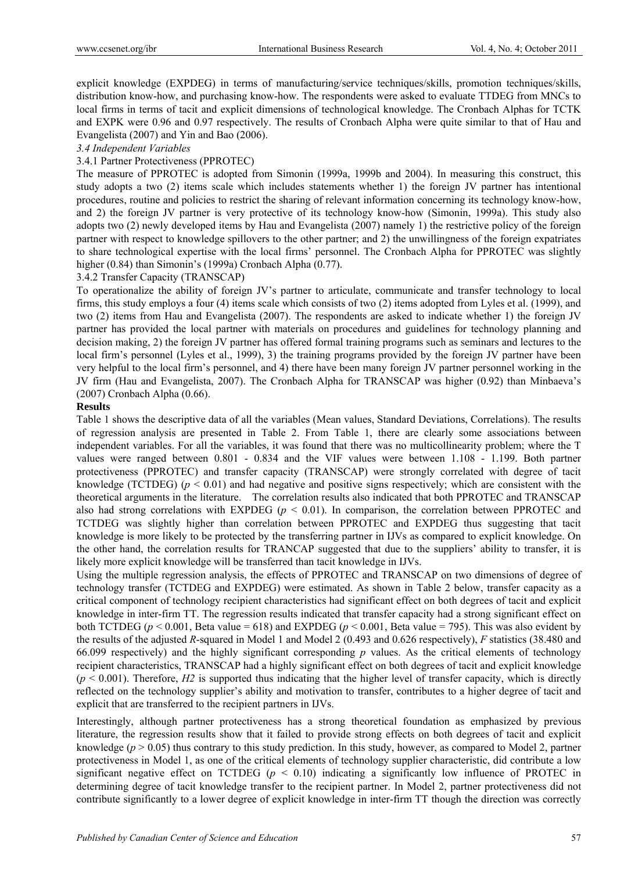explicit knowledge (EXPDEG) in terms of manufacturing/service techniques/skills, promotion techniques/skills, distribution know-how, and purchasing know-how. The respondents were asked to evaluate TTDEG from MNCs to local firms in terms of tacit and explicit dimensions of technological knowledge. The Cronbach Alphas for TCTK and EXPK were 0.96 and 0.97 respectively. The results of Cronbach Alpha were quite similar to that of Hau and Evangelista (2007) and Yin and Bao (2006).

*3.4 Independent Variables* 

## 3.4.1 Partner Protectiveness (PPROTEC)

The measure of PPROTEC is adopted from Simonin (1999a, 1999b and 2004). In measuring this construct, this study adopts a two (2) items scale which includes statements whether 1) the foreign JV partner has intentional procedures, routine and policies to restrict the sharing of relevant information concerning its technology know-how, and 2) the foreign JV partner is very protective of its technology know-how (Simonin, 1999a). This study also adopts two (2) newly developed items by Hau and Evangelista (2007) namely 1) the restrictive policy of the foreign partner with respect to knowledge spillovers to the other partner; and 2) the unwillingness of the foreign expatriates to share technological expertise with the local firms' personnel. The Cronbach Alpha for PPROTEC was slightly higher (0.84) than Simonin's (1999a) Cronbach Alpha (0.77).

3.4.2 Transfer Capacity (TRANSCAP)

To operationalize the ability of foreign JV's partner to articulate, communicate and transfer technology to local firms, this study employs a four (4) items scale which consists of two (2) items adopted from Lyles et al. (1999), and two (2) items from Hau and Evangelista (2007). The respondents are asked to indicate whether 1) the foreign JV partner has provided the local partner with materials on procedures and guidelines for technology planning and decision making, 2) the foreign JV partner has offered formal training programs such as seminars and lectures to the local firm's personnel (Lyles et al., 1999), 3) the training programs provided by the foreign JV partner have been very helpful to the local firm's personnel, and 4) there have been many foreign JV partner personnel working in the JV firm (Hau and Evangelista, 2007). The Cronbach Alpha for TRANSCAP was higher (0.92) than Minbaeva's (2007) Cronbach Alpha (0.66).

#### **Results**

Table 1 shows the descriptive data of all the variables (Mean values, Standard Deviations, Correlations). The results of regression analysis are presented in Table 2. From Table 1, there are clearly some associations between independent variables. For all the variables, it was found that there was no multicollinearity problem; where the T values were ranged between 0.801 - 0.834 and the VIF values were between 1.108 - 1.199. Both partner protectiveness (PPROTEC) and transfer capacity (TRANSCAP) were strongly correlated with degree of tacit knowledge (TCTDEG) ( $p < 0.01$ ) and had negative and positive signs respectively; which are consistent with the theoretical arguments in the literature. The correlation results also indicated that both PPROTEC and TRANSCAP also had strong correlations with EXPDEG ( $p < 0.01$ ). In comparison, the correlation between PPROTEC and TCTDEG was slightly higher than correlation between PPROTEC and EXPDEG thus suggesting that tacit knowledge is more likely to be protected by the transferring partner in IJVs as compared to explicit knowledge. On the other hand, the correlation results for TRANCAP suggested that due to the suppliers' ability to transfer, it is likely more explicit knowledge will be transferred than tacit knowledge in IJVs.

Using the multiple regression analysis, the effects of PPROTEC and TRANSCAP on two dimensions of degree of technology transfer (TCTDEG and EXPDEG) were estimated. As shown in Table 2 below, transfer capacity as a critical component of technology recipient characteristics had significant effect on both degrees of tacit and explicit knowledge in inter-firm TT. The regression results indicated that transfer capacity had a strong significant effect on both TCTDEG ( $p < 0.001$ , Beta value = 618) and EXPDEG ( $p < 0.001$ , Beta value = 795). This was also evident by the results of the adjusted *R*-squared in Model 1 and Model 2 (0.493 and 0.626 respectively), *F* statistics (38.480 and 66.099 respectively) and the highly significant corresponding *p* values. As the critical elements of technology recipient characteristics, TRANSCAP had a highly significant effect on both degrees of tacit and explicit knowledge  $(p < 0.001)$ . Therefore, *H2* is supported thus indicating that the higher level of transfer capacity, which is directly reflected on the technology supplier's ability and motivation to transfer, contributes to a higher degree of tacit and explicit that are transferred to the recipient partners in IJVs.

Interestingly, although partner protectiveness has a strong theoretical foundation as emphasized by previous literature, the regression results show that it failed to provide strong effects on both degrees of tacit and explicit knowledge ( $p > 0.05$ ) thus contrary to this study prediction. In this study, however, as compared to Model 2, partner protectiveness in Model 1, as one of the critical elements of technology supplier characteristic, did contribute a low significant negative effect on TCTDEG ( $p < 0.10$ ) indicating a significantly low influence of PROTEC in determining degree of tacit knowledge transfer to the recipient partner. In Model 2, partner protectiveness did not contribute significantly to a lower degree of explicit knowledge in inter-firm TT though the direction was correctly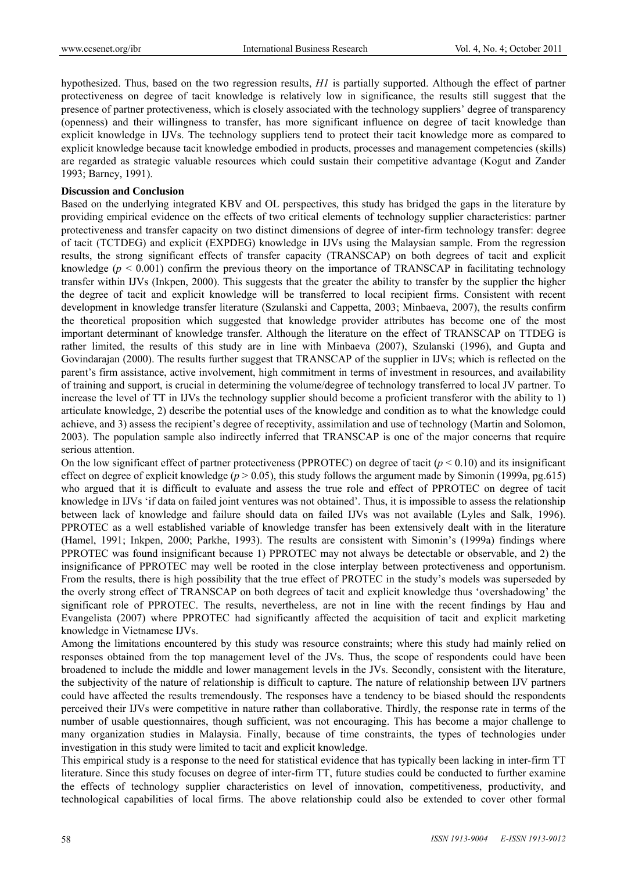hypothesized. Thus, based on the two regression results, *H1* is partially supported. Although the effect of partner protectiveness on degree of tacit knowledge is relatively low in significance, the results still suggest that the presence of partner protectiveness, which is closely associated with the technology suppliers' degree of transparency (openness) and their willingness to transfer, has more significant influence on degree of tacit knowledge than explicit knowledge in IJVs. The technology suppliers tend to protect their tacit knowledge more as compared to explicit knowledge because tacit knowledge embodied in products, processes and management competencies (skills) are regarded as strategic valuable resources which could sustain their competitive advantage (Kogut and Zander 1993; Barney, 1991).

#### **Discussion and Conclusion**

Based on the underlying integrated KBV and OL perspectives, this study has bridged the gaps in the literature by providing empirical evidence on the effects of two critical elements of technology supplier characteristics: partner protectiveness and transfer capacity on two distinct dimensions of degree of inter-firm technology transfer: degree of tacit (TCTDEG) and explicit (EXPDEG) knowledge in IJVs using the Malaysian sample. From the regression results, the strong significant effects of transfer capacity (TRANSCAP) on both degrees of tacit and explicit knowledge ( $p < 0.001$ ) confirm the previous theory on the importance of TRANSCAP in facilitating technology transfer within IJVs (Inkpen, 2000). This suggests that the greater the ability to transfer by the supplier the higher the degree of tacit and explicit knowledge will be transferred to local recipient firms. Consistent with recent development in knowledge transfer literature (Szulanski and Cappetta, 2003; Minbaeva, 2007), the results confirm the theoretical proposition which suggested that knowledge provider attributes has become one of the most important determinant of knowledge transfer. Although the literature on the effect of TRANSCAP on TTDEG is rather limited, the results of this study are in line with Minbaeva (2007), Szulanski (1996), and Gupta and Govindarajan (2000). The results further suggest that TRANSCAP of the supplier in IJVs; which is reflected on the parent's firm assistance, active involvement, high commitment in terms of investment in resources, and availability of training and support, is crucial in determining the volume/degree of technology transferred to local JV partner. To increase the level of TT in IJVs the technology supplier should become a proficient transferor with the ability to 1) articulate knowledge, 2) describe the potential uses of the knowledge and condition as to what the knowledge could achieve, and 3) assess the recipient's degree of receptivity, assimilation and use of technology (Martin and Solomon, 2003). The population sample also indirectly inferred that TRANSCAP is one of the major concerns that require serious attention.

On the low significant effect of partner protectiveness (PPROTEC) on degree of tacit  $(p < 0.10)$  and its insignificant effect on degree of explicit knowledge ( $p > 0.05$ ), this study follows the argument made by Simonin (1999a, pg.615) who argued that it is difficult to evaluate and assess the true role and effect of PPROTEC on degree of tacit knowledge in IJVs 'if data on failed joint ventures was not obtained'. Thus, it is impossible to assess the relationship between lack of knowledge and failure should data on failed IJVs was not available (Lyles and Salk, 1996). PPROTEC as a well established variable of knowledge transfer has been extensively dealt with in the literature (Hamel, 1991; Inkpen, 2000; Parkhe, 1993). The results are consistent with Simonin's (1999a) findings where PPROTEC was found insignificant because 1) PPROTEC may not always be detectable or observable, and 2) the insignificance of PPROTEC may well be rooted in the close interplay between protectiveness and opportunism. From the results, there is high possibility that the true effect of PROTEC in the study's models was superseded by the overly strong effect of TRANSCAP on both degrees of tacit and explicit knowledge thus 'overshadowing' the significant role of PPROTEC. The results, nevertheless, are not in line with the recent findings by Hau and Evangelista (2007) where PPROTEC had significantly affected the acquisition of tacit and explicit marketing knowledge in Vietnamese IJVs.

Among the limitations encountered by this study was resource constraints; where this study had mainly relied on responses obtained from the top management level of the JVs. Thus, the scope of respondents could have been broadened to include the middle and lower management levels in the JVs. Secondly, consistent with the literature, the subjectivity of the nature of relationship is difficult to capture. The nature of relationship between IJV partners could have affected the results tremendously. The responses have a tendency to be biased should the respondents perceived their IJVs were competitive in nature rather than collaborative. Thirdly, the response rate in terms of the number of usable questionnaires, though sufficient, was not encouraging. This has become a major challenge to many organization studies in Malaysia. Finally, because of time constraints, the types of technologies under investigation in this study were limited to tacit and explicit knowledge.

This empirical study is a response to the need for statistical evidence that has typically been lacking in inter-firm TT literature. Since this study focuses on degree of inter-firm TT, future studies could be conducted to further examine the effects of technology supplier characteristics on level of innovation, competitiveness, productivity, and technological capabilities of local firms. The above relationship could also be extended to cover other formal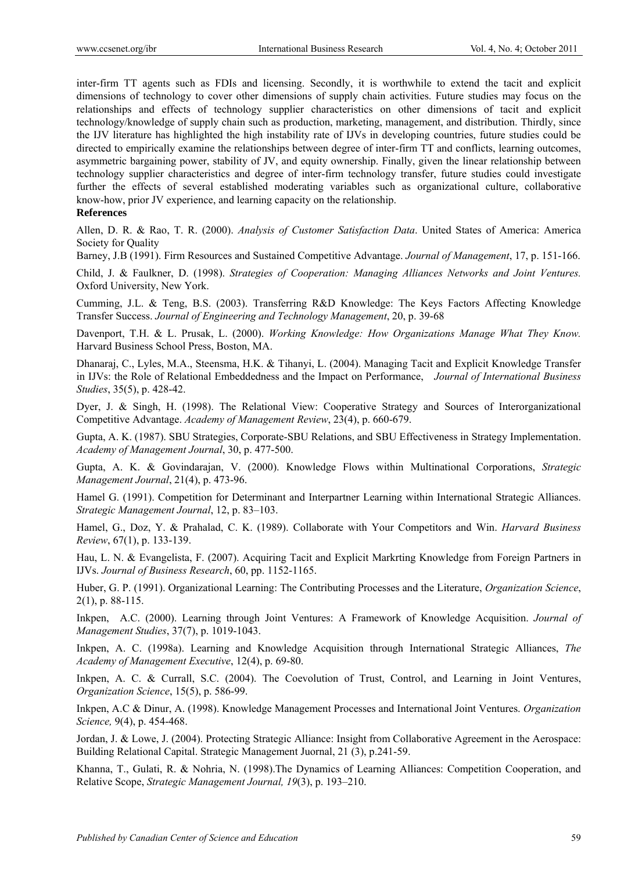inter-firm TT agents such as FDIs and licensing. Secondly, it is worthwhile to extend the tacit and explicit dimensions of technology to cover other dimensions of supply chain activities. Future studies may focus on the relationships and effects of technology supplier characteristics on other dimensions of tacit and explicit technology/knowledge of supply chain such as production, marketing, management, and distribution. Thirdly, since the IJV literature has highlighted the high instability rate of IJVs in developing countries, future studies could be directed to empirically examine the relationships between degree of inter-firm TT and conflicts, learning outcomes, asymmetric bargaining power, stability of JV, and equity ownership. Finally, given the linear relationship between technology supplier characteristics and degree of inter-firm technology transfer, future studies could investigate further the effects of several established moderating variables such as organizational culture, collaborative know-how, prior JV experience, and learning capacity on the relationship.

### **References**

Allen, D. R. & Rao, T. R. (2000). *Analysis of Customer Satisfaction Data*. United States of America: America Society for Quality

Barney, J.B (1991). Firm Resources and Sustained Competitive Advantage. *Journal of Management*, 17, p. 151-166.

Child, J. & Faulkner, D. (1998). *Strategies of Cooperation: Managing Alliances Networks and Joint Ventures.* Oxford University, New York.

Cumming, J.L. & Teng, B.S. (2003). Transferring R&D Knowledge: The Keys Factors Affecting Knowledge Transfer Success. *Journal of Engineering and Technology Management*, 20, p. 39-68

Davenport, T.H. & L. Prusak, L. (2000). *Working Knowledge: How Organizations Manage What They Know.* Harvard Business School Press, Boston, MA.

Dhanaraj, C., Lyles, M.A., Steensma, H.K. & Tihanyi, L. (2004). Managing Tacit and Explicit Knowledge Transfer in IJVs: the Role of Relational Embeddedness and the Impact on Performance, *Journal of International Business Studies*, 35(5), p. 428-42.

Dyer, J. & Singh, H. (1998). The Relational View: Cooperative Strategy and Sources of Interorganizational Competitive Advantage. *Academy of Management Review*, 23(4), p. 660-679.

Gupta, A. K. (1987). SBU Strategies, Corporate-SBU Relations, and SBU Effectiveness in Strategy Implementation. *Academy of Management Journal*, 30, p. 477-500.

Gupta, A. K. & Govindarajan, V. (2000). Knowledge Flows within Multinational Corporations, *Strategic Management Journal*, 21(4), p. 473-96.

Hamel G. (1991). Competition for Determinant and Interpartner Learning within International Strategic Alliances. *Strategic Management Journal*, 12, p. 83–103.

Hamel, G., Doz, Y. & Prahalad, C. K. (1989). Collaborate with Your Competitors and Win. *Harvard Business Review*, 67(1), p. 133-139.

Hau, L. N. & Evangelista, F. (2007). Acquiring Tacit and Explicit Markrting Knowledge from Foreign Partners in IJVs. *Journal of Business Research*, 60, pp. 1152-1165.

Huber, G. P. (1991). Organizational Learning: The Contributing Processes and the Literature, *Organization Science*, 2(1), p. 88-115.

Inkpen, A.C. (2000). Learning through Joint Ventures: A Framework of Knowledge Acquisition. *Journal of Management Studies*, 37(7), p. 1019-1043.

Inkpen, A. C. (1998a). Learning and Knowledge Acquisition through International Strategic Alliances, *The Academy of Management Executive*, 12(4), p. 69-80.

Inkpen, A. C. & Currall, S.C. (2004). The Coevolution of Trust, Control, and Learning in Joint Ventures, *Organization Science*, 15(5), p. 586-99.

Inkpen, A.C & Dinur, A. (1998). Knowledge Management Processes and International Joint Ventures. *Organization Science,* 9(4), p. 454-468.

Jordan, J. & Lowe, J. (2004). Protecting Strategic Alliance: Insight from Collaborative Agreement in the Aerospace: Building Relational Capital. Strategic Management Juornal, 21 (3), p.241-59.

Khanna, T., Gulati, R. & Nohria, N. (1998).The Dynamics of Learning Alliances: Competition Cooperation, and Relative Scope, *Strategic Management Journal, 19*(3), p. 193–210.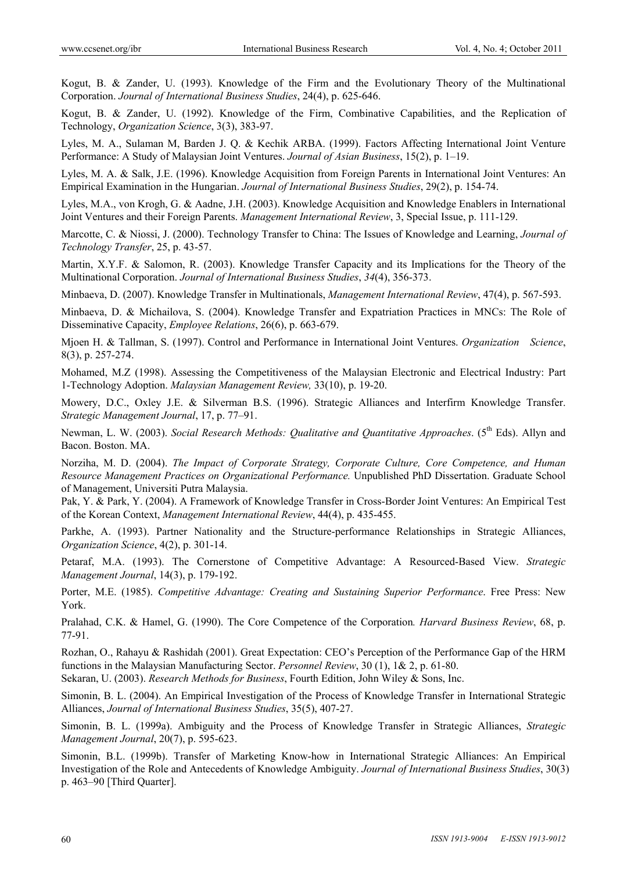Kogut, B. & Zander, U. (1993). Knowledge of the Firm and the Evolutionary Theory of the Multinational Corporation. *Journal of International Business Studies*, 24(4), p. 625-646.

Kogut, B. & Zander, U. (1992). Knowledge of the Firm, Combinative Capabilities, and the Replication of Technology, *Organization Science*, 3(3), 383-97.

Lyles, M. A., Sulaman M, Barden J. Q. & Kechik ARBA. (1999). Factors Affecting International Joint Venture Performance: A Study of Malaysian Joint Ventures. *Journal of Asian Business*, 15(2), p. 1–19.

Lyles, M. A. & Salk, J.E. (1996). Knowledge Acquisition from Foreign Parents in International Joint Ventures: An Empirical Examination in the Hungarian. *Journal of International Business Studies*, 29(2), p. 154-74.

Lyles, M.A., von Krogh, G. & Aadne, J.H. (2003). Knowledge Acquisition and Knowledge Enablers in International Joint Ventures and their Foreign Parents. *Management International Review*, 3, Special Issue, p. 111-129.

Marcotte, C. & Niossi, J. (2000). Technology Transfer to China: The Issues of Knowledge and Learning, *Journal of Technology Transfer*, 25, p. 43-57.

Martin, X.Y.F. & Salomon, R. (2003). Knowledge Transfer Capacity and its Implications for the Theory of the Multinational Corporation. *Journal of International Business Studies*, *34*(4), 356-373.

Minbaeva, D. (2007). Knowledge Transfer in Multinationals, *Management International Review*, 47(4), p. 567-593.

Minbaeva, D. & Michailova, S. (2004). Knowledge Transfer and Expatriation Practices in MNCs: The Role of Disseminative Capacity, *Employee Relations*, 26(6), p. 663-679.

Mjoen H. & Tallman, S. (1997). Control and Performance in International Joint Ventures. *Organization Science*, 8(3), p. 257-274.

Mohamed, M.Z (1998). Assessing the Competitiveness of the Malaysian Electronic and Electrical Industry: Part 1-Technology Adoption. *Malaysian Management Review,* 33(10), p. 19-20.

Mowery, D.C., Oxley J.E. & Silverman B.S. (1996). Strategic Alliances and Interfirm Knowledge Transfer. *Strategic Management Journal*, 17, p. 77–91.

Newman, L. W. (2003). *Social Research Methods: Qualitative and Quantitative Approaches*. (5th Eds). Allyn and Bacon. Boston. MA.

Norziha, M. D. (2004). *The Impact of Corporate Strategy, Corporate Culture, Core Competence, and Human Resource Management Practices on Organizational Performance.* Unpublished PhD Dissertation. Graduate School of Management, Universiti Putra Malaysia.

Pak, Y. & Park, Y. (2004). A Framework of Knowledge Transfer in Cross-Border Joint Ventures: An Empirical Test of the Korean Context, *Management International Review*, 44(4), p. 435-455.

Parkhe, A. (1993). Partner Nationality and the Structure-performance Relationships in Strategic Alliances, *Organization Science*, 4(2), p. 301-14.

Petaraf, M.A. (1993). The Cornerstone of Competitive Advantage: A Resourced-Based View. *Strategic Management Journal*, 14(3), p. 179-192.

Porter, M.E. (1985). *Competitive Advantage: Creating and Sustaining Superior Performance*. Free Press: New York.

Pralahad, C.K. & Hamel, G. (1990). The Core Competence of the Corporation*. Harvard Business Review*, 68, p. 77-91.

Rozhan, O., Rahayu & Rashidah (2001). Great Expectation: CEO's Perception of the Performance Gap of the HRM functions in the Malaysian Manufacturing Sector. *Personnel Review*, 30 (1), 1& 2, p. 61-80.

Sekaran, U. (2003). *Research Methods for Business*, Fourth Edition, John Wiley & Sons, Inc.

Simonin, B. L. (2004). An Empirical Investigation of the Process of Knowledge Transfer in International Strategic Alliances, *Journal of International Business Studies*, 35(5), 407-27.

Simonin, B. L. (1999a). Ambiguity and the Process of Knowledge Transfer in Strategic Alliances, *Strategic Management Journal*, 20(7), p. 595-623.

Simonin, B.L. (1999b). Transfer of Marketing Know-how in International Strategic Alliances: An Empirical Investigation of the Role and Antecedents of Knowledge Ambiguity. *Journal of International Business Studies*, 30(3) p. 463–90 [Third Quarter].